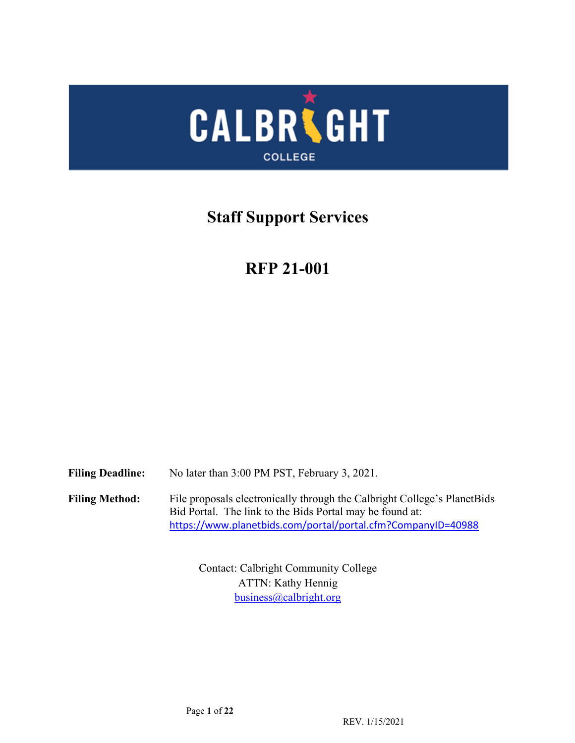

# **Staff Support Services**

# **RFP 21-001**

**Filing Deadline: Filing Method:** No later than 3:00 PM PST, February 3, 2021. File proposals electronically through the Calbright College's PlanetBids Bid Portal. The link to the Bids Portal may be found at: <https://www.planetbids.com/portal/portal.cfm?CompanyID=40988>

> Contact: Calbright Community College ATTN: Kathy Hennig [business@calbright.org](mailto:business@calbright.org)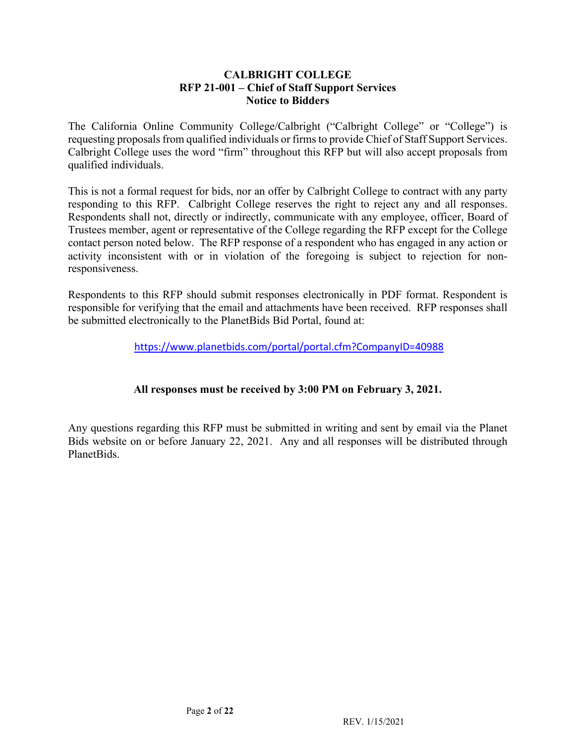#### **CALBRIGHT COLLEGE RFP 21-001 – Chief of Staff Support Services Notice to Bidders**

 The California Online Community College/Calbright ("Calbright College" or "College") is requesting proposals from qualified individuals or firms to provide Chief of Staff Support Services. Calbright College uses the word "firm" throughout this RFP but will also accept proposals from qualified individuals.

 This is not a formal request for bids, nor an offer by Calbright College to contract with any party responding to this RFP. Calbright College reserves the right to reject any and all responses. Respondents shall not, directly or indirectly, communicate with any employee, officer, Board of Trustees member, agent or representative of the College regarding the RFP except for the College contact person noted below. The RFP response of a respondent who has engaged in any action or activity inconsistent with or in violation of the foregoing is subject to rejection for nonresponsiveness.

 Respondents to this RFP should submit responses electronically in PDF format. Respondent is responsible for verifying that the email and attachments have been received. RFP responses shall be submitted electronically to the PlanetBids Bid Portal, found at:

<https://www.planetbids.com/portal/portal.cfm?CompanyID=40988>

# **All responses must be received by 3:00 PM on February 3, 2021.**

 Any questions regarding this RFP must be submitted in writing and sent by email via the Planet Bids website on or before January 22, 2021. Any and all responses will be distributed through PlanetBids.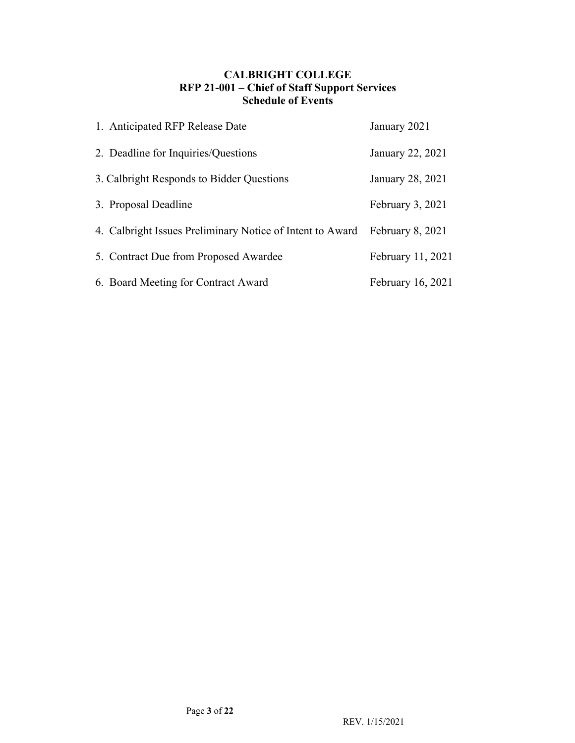# **CALBRIGHT COLLEGE RFP 21-001 – Chief of Staff Support Services Schedule of Events**

| 1. Anticipated RFP Release Date                           | January 2021      |
|-----------------------------------------------------------|-------------------|
| 2. Deadline for Inquiries/Questions                       | January 22, 2021  |
| 3. Calbright Responds to Bidder Questions                 | January 28, 2021  |
| 3. Proposal Deadline                                      | February 3, 2021  |
| 4. Calbright Issues Preliminary Notice of Intent to Award | February 8, 2021  |
| 5. Contract Due from Proposed Awardee                     | February 11, 2021 |
| 6. Board Meeting for Contract Award                       | February 16, 2021 |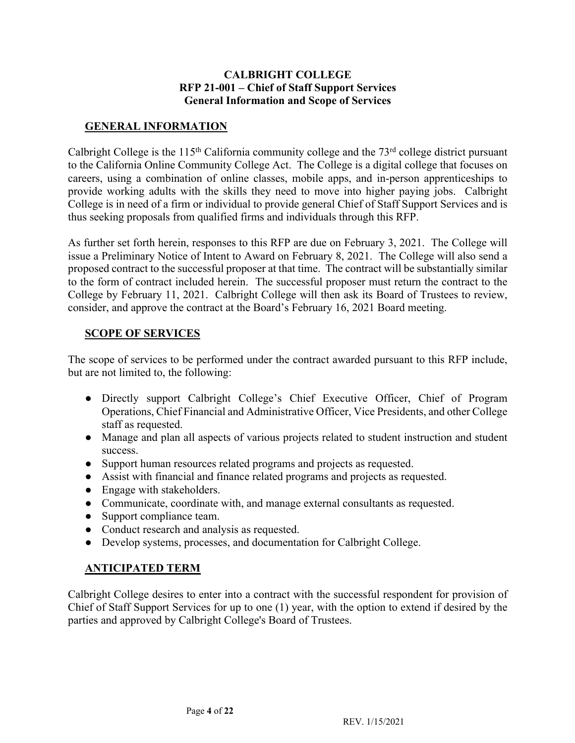### **CALBRIGHT COLLEGE RFP 21-001 – Chief of Staff Support Services General Information and Scope of Services**

# **GENERAL INFORMATION**

Calbright College is the  $115<sup>th</sup>$  California community college and the  $73<sup>rd</sup>$  college district pursuant to the California Online Community College Act. The College is a digital college that focuses on provide working adults with the skills they need to move into higher paying jobs. Calbright College is in need of a firm or individual to provide general Chief of Staff Support Services and is careers, using a combination of online classes, mobile apps, and in-person apprenticeships to thus seeking proposals from qualified firms and individuals through this RFP.

 As further set forth herein, responses to this RFP are due on February 3, 2021. The College will issue a Preliminary Notice of Intent to Award on February 8, 2021. The College will also send a proposed contract to the successful proposer at that time. The contract will be substantially similar to the form of contract included herein. The successful proposer must return the contract to the College by February 11, 2021. Calbright College will then ask its Board of Trustees to review, consider, and approve the contract at the Board's February 16, 2021 Board meeting.

# **SCOPE OF SERVICES**

 The scope of services to be performed under the contract awarded pursuant to this RFP include, but are not limited to, the following:

- ● Directly support Calbright College's Chief Executive Officer, Chief of Program Operations, Chief Financial and Administrative Officer, Vice Presidents, and other College staff as requested.
- ● Manage and plan all aspects of various projects related to student instruction and student success.
- Support human resources related programs and projects as requested.
- Assist with financial and finance related programs and projects as requested.
- Engage with stakeholders.
- Communicate, coordinate with, and manage external consultants as requested.
- Support compliance team.
- Conduct research and analysis as requested.
- Develop systems, processes, and documentation for Calbright College.

# **ANTICIPATED TERM**

 Calbright College desires to enter into a contract with the successful respondent for provision of Chief of Staff Support Services for up to one (1) year, with the option to extend if desired by the parties and approved by Calbright College's Board of Trustees.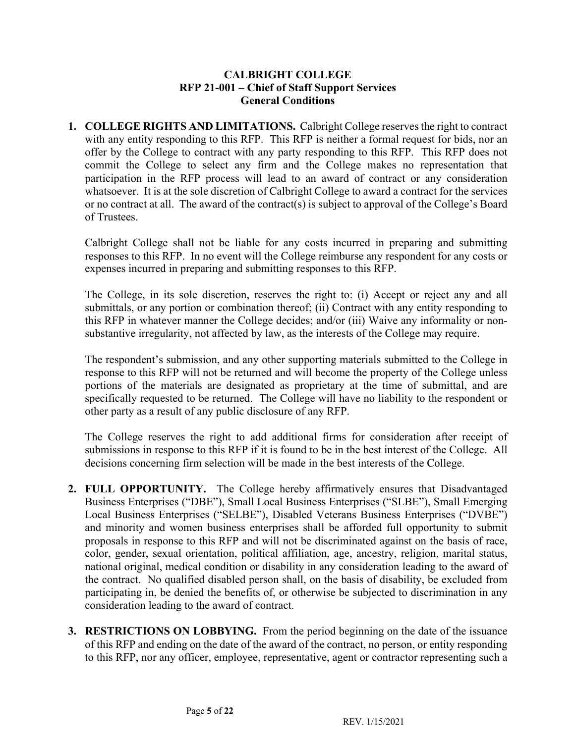### **CALBRIGHT COLLEGE RFP 21-001 – Chief of Staff Support Services General Conditions**

 **1. COLLEGE RIGHTS AND LIMITATIONS.** Calbright College reserves the right to contract with any entity responding to this RFP. This RFP is neither a formal request for bids, nor an offer by the College to contract with any party responding to this RFP. This RFP does not commit the College to select any firm and the College makes no representation that participation in the RFP process will lead to an award of contract or any consideration whatsoever. It is at the sole discretion of Calbright College to award a contract for the services or no contract at all. The award of the contract(s) is subject to approval of the College's Board of Trustees.

 Calbright College shall not be liable for any costs incurred in preparing and submitting responses to this RFP. In no event will the College reimburse any respondent for any costs or expenses incurred in preparing and submitting responses to this RFP.

 The College, in its sole discretion, reserves the right to: (i) Accept or reject any and all submittals, or any portion or combination thereof; (ii) Contract with any entity responding to this RFP in whatever manner the College decides; and/or (iii) Waive any informality or nonsubstantive irregularity, not affected by law, as the interests of the College may require.

 The respondent's submission, and any other supporting materials submitted to the College in response to this RFP will not be returned and will become the property of the College unless portions of the materials are designated as proprietary at the time of submittal, and are specifically requested to be returned. The College will have no liability to the respondent or other party as a result of any public disclosure of any RFP.

 The College reserves the right to add additional firms for consideration after receipt of submissions in response to this RFP if it is found to be in the best interest of the College. All decisions concerning firm selection will be made in the best interests of the College.

- **2. FULL OPPORTUNITY.** The College hereby affirmatively ensures that Disadvantaged Business Enterprises ("DBE"), Small Local Business Enterprises ("SLBE"), Small Emerging Local Business Enterprises ("SELBE"), Disabled Veterans Business Enterprises ("DVBE") and minority and women business enterprises shall be afforded full opportunity to submit proposals in response to this RFP and will not be discriminated against on the basis of race, the contract. No qualified disabled person shall, on the basis of disability, be excluded from participating in, be denied the benefits of, or otherwise be subjected to discrimination in any color, gender, sexual orientation, political affiliation, age, ancestry, religion, marital status, national original, medical condition or disability in any consideration leading to the award of consideration leading to the award of contract.
- **3. RESTRICTIONS ON LOBBYING.** From the period beginning on the date of the issuance of this RFP and ending on the date of the award of the contract, no person, or entity responding to this RFP, nor any officer, employee, representative, agent or contractor representing such a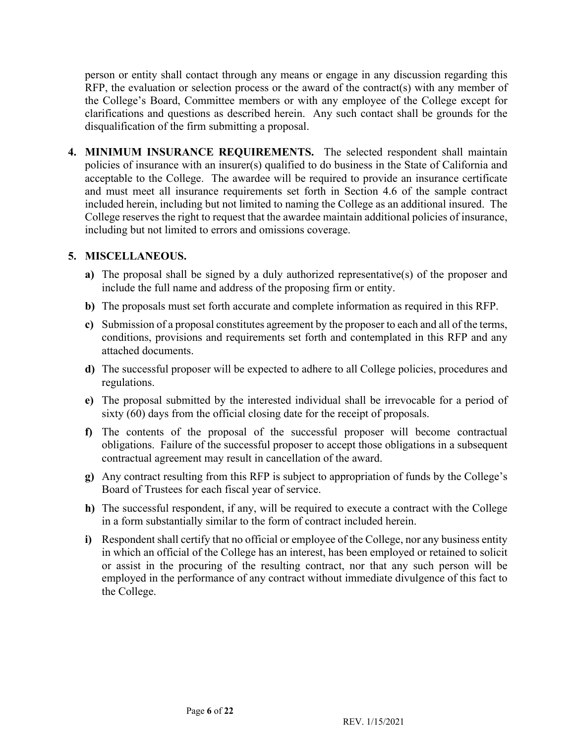person or entity shall contact through any means or engage in any discussion regarding this RFP, the evaluation or selection process or the award of the contract(s) with any member of the College's Board, Committee members or with any employee of the College except for clarifications and questions as described herein. Any such contact shall be grounds for the disqualification of the firm submitting a proposal.

 **4. MINIMUM INSURANCE REQUIREMENTS.** The selected respondent shall maintain policies of insurance with an insurer(s) qualified to do business in the State of California and acceptable to the College. The awardee will be required to provide an insurance certificate and must meet all insurance requirements set forth in Section 4.6 of the sample contract included herein, including but not limited to naming the College as an additional insured. The College reserves the right to request that the awardee maintain additional policies of insurance, including but not limited to errors and omissions coverage.

#### **5. MISCELLANEOUS.**

- **a)** The proposal shall be signed by a duly authorized representative(s) of the proposer and include the full name and address of the proposing firm or entity.
- **b)** The proposals must set forth accurate and complete information as required in this RFP.
- **c)** Submission of a proposal constitutes agreement by the proposer to each and all of the terms, conditions, provisions and requirements set forth and contemplated in this RFP and any attached documents.
- **d)** The successful proposer will be expected to adhere to all College policies, procedures and regulations.
- **e)** The proposal submitted by the interested individual shall be irrevocable for a period of sixty (60) days from the official closing date for the receipt of proposals.
- **f)** The contents of the proposal of the successful proposer will become contractual obligations. Failure of the successful proposer to accept those obligations in a subsequent contractual agreement may result in cancellation of the award.
- **g)** Any contract resulting from this RFP is subject to appropriation of funds by the College's Board of Trustees for each fiscal year of service.
- **h)** The successful respondent, if any, will be required to execute a contract with the College in a form substantially similar to the form of contract included herein.
- **i)** Respondent shall certify that no official or employee of the College, nor any business entity in which an official of the College has an interest, has been employed or retained to solicit or assist in the procuring of the resulting contract, nor that any such person will be employed in the performance of any contract without immediate divulgence of this fact to the College.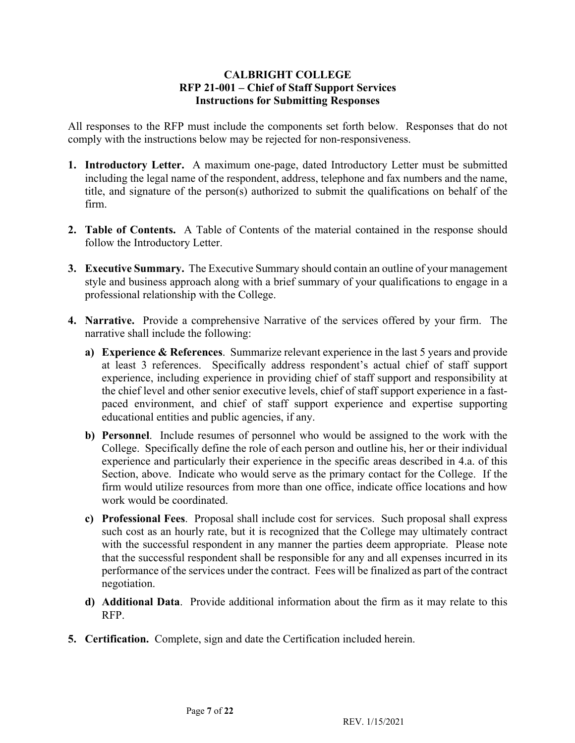### **CALBRIGHT COLLEGE RFP 21-001 – Chief of Staff Support Services Instructions for Submitting Responses**

 All responses to the RFP must include the components set forth below. Responses that do not comply with the instructions below may be rejected for non-responsiveness.

- **1. Introductory Letter.** A maximum one-page, dated Introductory Letter must be submitted including the legal name of the respondent, address, telephone and fax numbers and the name, title, and signature of the person(s) authorized to submit the qualifications on behalf of the firm.
- **2. Table of Contents.** A Table of Contents of the material contained in the response should follow the Introductory Letter.
- **3. Executive Summary.** The Executive Summary should contain an outline of your management style and business approach along with a brief summary of your qualifications to engage in a professional relationship with the College.
- **4. Narrative.** Provide a comprehensive Narrative of the services offered by your firm. The narrative shall include the following:
	- **a) Experience & References**. Summarize relevant experience in the last 5 years and provide at least 3 references. Specifically address respondent's actual chief of staff support the chief level and other senior executive levels, chief of staff support experience in a fast- paced environment, and chief of staff support experience and expertise supporting experience, including experience in providing chief of staff support and responsibility at educational entities and public agencies, if any.
	- **b) Personnel**. Include resumes of personnel who would be assigned to the work with the College. Specifically define the role of each person and outline his, her or their individual experience and particularly their experience in the specific areas described in 4.a. of this Section, above. Indicate who would serve as the primary contact for the College. If the firm would utilize resources from more than one office, indicate office locations and how work would be coordinated.
	- **c) Professional Fees**. Proposal shall include cost for services. Such proposal shall express such cost as an hourly rate, but it is recognized that the College may ultimately contract with the successful respondent in any manner the parties deem appropriate. Please note that the successful respondent shall be responsible for any and all expenses incurred in its performance of the services under the contract. Fees will be finalized as part of the contract negotiation.
	- **d) Additional Data**. Provide additional information about the firm as it may relate to this RFP.
- **5. Certification.** Complete, sign and date the Certification included herein.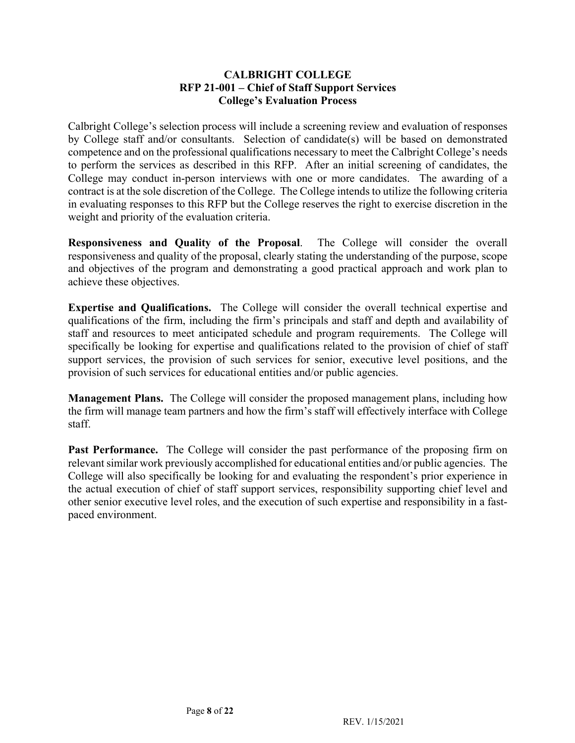#### **CALBRIGHT COLLEGE RFP 21-001 – Chief of Staff Support Services College's Evaluation Process**

 Calbright College's selection process will include a screening review and evaluation of responses by College staff and/or consultants. Selection of candidate(s) will be based on demonstrated competence and on the professional qualifications necessary to meet the Calbright College's needs to perform the services as described in this RFP. After an initial screening of candidates, the College may conduct in-person interviews with one or more candidates. The awarding of a contract is at the sole discretion of the College. The College intends to utilize the following criteria in evaluating responses to this RFP but the College reserves the right to exercise discretion in the weight and priority of the evaluation criteria.

 **Responsiveness and Quality of the Proposal**. The College will consider the overall and objectives of the program and demonstrating a good practical approach and work plan to responsiveness and quality of the proposal, clearly stating the understanding of the purpose, scope achieve these objectives.

 **Expertise and Qualifications.** The College will consider the overall technical expertise and qualifications of the firm, including the firm's principals and staff and depth and availability of staff and resources to meet anticipated schedule and program requirements. The College will support services, the provision of such services for senior, executive level positions, and the specifically be looking for expertise and qualifications related to the provision of chief of staff provision of such services for educational entities and/or public agencies.

 **Management Plans.** The College will consider the proposed management plans, including how the firm will manage team partners and how the firm's staff will effectively interface with College staff.

Past Performance. The College will consider the past performance of the proposing firm on relevant similar work previously accomplished for educational entities and/or public agencies. The College will also specifically be looking for and evaluating the respondent's prior experience in the actual execution of chief of staff support services, responsibility supporting chief level and other senior executive level roles, and the execution of such expertise and responsibility in a fastpaced environment.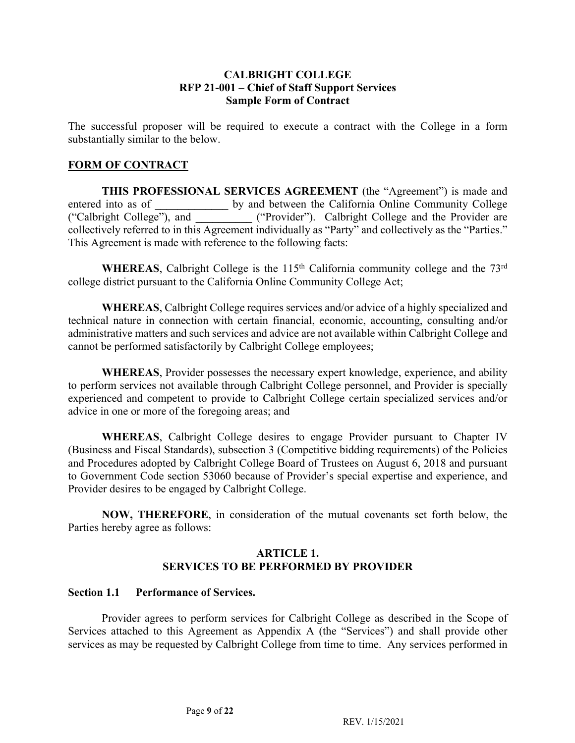#### **CALBRIGHT COLLEGE RFP 21-001 – Chief of Staff Support Services Sample Form of Contract**

 The successful proposer will be required to execute a contract with the College in a form substantially similar to the below.

### **FORM OF CONTRACT**

 **THIS PROFESSIONAL SERVICES AGREEMENT** (the "Agreement") is made and entered into as of **by and between the California Online Community College**  ("Calbright College"), and **\_\_\_\_\_\_\_\_\_\_** ("Provider"). Calbright College and the Provider are collectively referred to in this Agreement individually as "Party" and collectively as the "Parties." This Agreement is made with reference to the following facts:

WHEREAS, Calbright College is the 115<sup>th</sup> California community college and the 73<sup>rd</sup> college district pursuant to the California Online Community College Act;

 **WHEREAS**, Calbright College requires services and/or advice of a highly specialized and technical nature in connection with certain financial, economic, accounting, consulting and/or administrative matters and such services and advice are not available within Calbright College and cannot be performed satisfactorily by Calbright College employees;

 **WHEREAS**, Provider possesses the necessary expert knowledge, experience, and ability to perform services not available through Calbright College personnel, and Provider is specially experienced and competent to provide to Calbright College certain specialized services and/or advice in one or more of the foregoing areas; and

 **WHEREAS**, Calbright College desires to engage Provider pursuant to Chapter IV (Business and Fiscal Standards), subsection 3 (Competitive bidding requirements) of the Policies and Procedures adopted by Calbright College Board of Trustees on August 6, 2018 and pursuant to Government Code section 53060 because of Provider's special expertise and experience, and Provider desires to be engaged by Calbright College.

 **NOW, THEREFORE**, in consideration of the mutual covenants set forth below, the Parties hereby agree as follows:

#### **ARTICLE 1. SERVICES TO BE PERFORMED BY PROVIDER**

#### **Section 1.1 Performance of Services.**

 Provider agrees to perform services for Calbright College as described in the Scope of Services attached to this Agreement as Appendix A (the "Services") and shall provide other services as may be requested by Calbright College from time to time. Any services performed in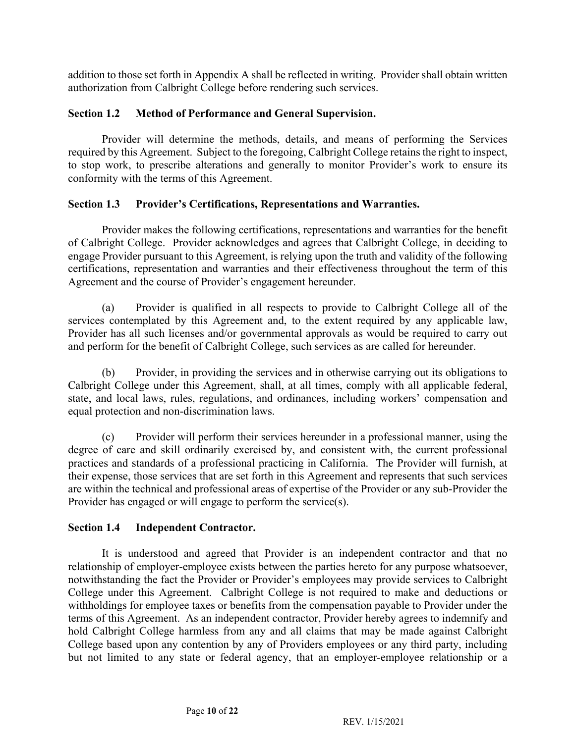addition to those set forth in Appendix A shall be reflected in writing. Provider shall obtain written authorization from Calbright College before rendering such services.

#### **Section 1.2 Method of Performance and General Supervision.**

 Provider will determine the methods, details, and means of performing the Services required by this Agreement. Subject to the foregoing, Calbright College retains the right to inspect, to stop work, to prescribe alterations and generally to monitor Provider's work to ensure its conformity with the terms of this Agreement.

#### **Section 1.3 Provider's Certifications, Representations and Warranties.**

 Provider makes the following certifications, representations and warranties for the benefit of Calbright College. Provider acknowledges and agrees that Calbright College, in deciding to engage Provider pursuant to this Agreement, is relying upon the truth and validity of the following certifications, representation and warranties and their effectiveness throughout the term of this Agreement and the course of Provider's engagement hereunder.

 (a) Provider is qualified in all respects to provide to Calbright College all of the services contemplated by this Agreement and, to the extent required by any applicable law, Provider has all such licenses and/or governmental approvals as would be required to carry out and perform for the benefit of Calbright College, such services as are called for hereunder.

 (b) Provider, in providing the services and in otherwise carrying out its obligations to Calbright College under this Agreement, shall, at all times, comply with all applicable federal, state, and local laws, rules, regulations, and ordinances, including workers' compensation and equal protection and non-discrimination laws.

 (c) Provider will perform their services hereunder in a professional manner, using the degree of care and skill ordinarily exercised by, and consistent with, the current professional practices and standards of a professional practicing in California. The Provider will furnish, at their expense, those services that are set forth in this Agreement and represents that such services are within the technical and professional areas of expertise of the Provider or any sub-Provider the Provider has engaged or will engage to perform the service(s).

#### **Section 1.4 Independent Contractor.**

 It is understood and agreed that Provider is an independent contractor and that no relationship of employer-employee exists between the parties hereto for any purpose whatsoever, notwithstanding the fact the Provider or Provider's employees may provide services to Calbright College under this Agreement. Calbright College is not required to make and deductions or withholdings for employee taxes or benefits from the compensation payable to Provider under the terms of this Agreement. As an independent contractor, Provider hereby agrees to indemnify and hold Calbright College harmless from any and all claims that may be made against Calbright College based upon any contention by any of Providers employees or any third party, including but not limited to any state or federal agency, that an employer-employee relationship or a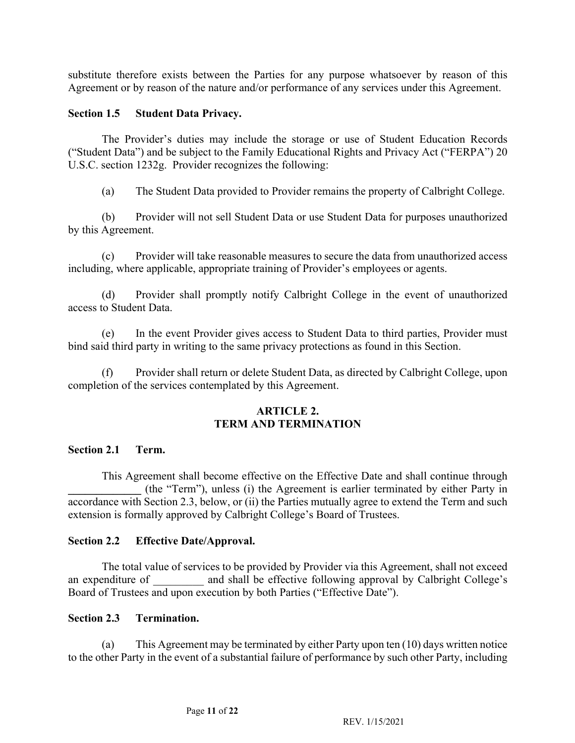substitute therefore exists between the Parties for any purpose whatsoever by reason of this Agreement or by reason of the nature and/or performance of any services under this Agreement.

#### **Section 1.5 Student Data Privacy.**

 The Provider's duties may include the storage or use of Student Education Records ("Student Data") and be subject to the Family Educational Rights and Privacy Act ("FERPA") 20 U.S.C. section 1232g. Provider recognizes the following:

(a) The Student Data provided to Provider remains the property of Calbright College.

 (b) Provider will not sell Student Data or use Student Data for purposes unauthorized by this Agreement.

 (c) Provider will take reasonable measures to secure the data from unauthorized access including, where applicable, appropriate training of Provider's employees or agents.

 (d) Provider shall promptly notify Calbright College in the event of unauthorized access to Student Data.

 $(e)$ In the event Provider gives access to Student Data to third parties, Provider must bind said third party in writing to the same privacy protections as found in this Section.

 (f) Provider shall return or delete Student Data, as directed by Calbright College, upon completion of the services contemplated by this Agreement.

#### **ARTICLE 2. TERM AND TERMINATION**

#### **Section 2.1 Term.**

 **\_\_\_\_\_\_\_\_\_\_\_\_\_** (the "Term"), unless (i) the Agreement is earlier terminated by either Party in accordance with Section 2.3, below, or (ii) the Parties mutually agree to extend the Term and such This Agreement shall become effective on the Effective Date and shall continue through extension is formally approved by Calbright College's Board of Trustees.

#### **Section 2.2 Effective Date/Approval.**

 The total value of services to be provided by Provider via this Agreement, shall not exceed an expenditure of and shall be effective following approval by Calbright College's Board of Trustees and upon execution by both Parties ("Effective Date").

#### **Section 2.3 Termination.**

 $(a)$  to the other Party in the event of a substantial failure of performance by such other Party, including This Agreement may be terminated by either Party upon ten  $(10)$  days written notice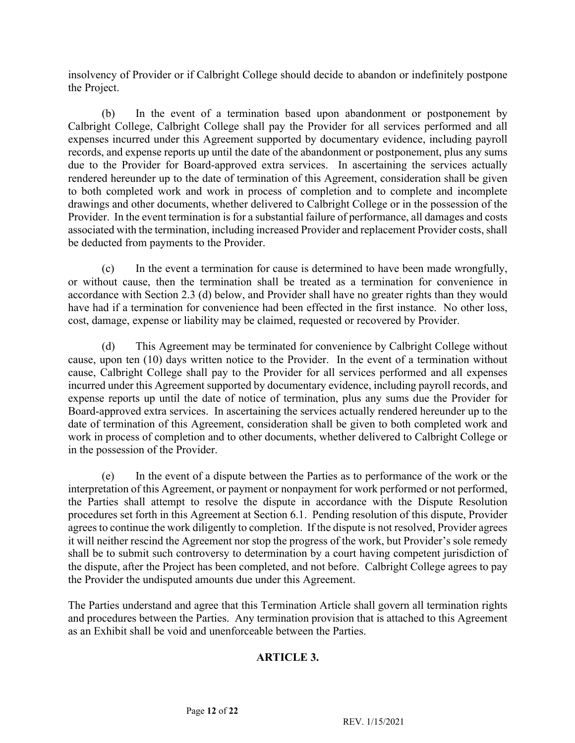insolvency of Provider or if Calbright College should decide to abandon or indefinitely postpone the Project.

 $(b)$  Calbright College, Calbright College shall pay the Provider for all services performed and all expenses incurred under this Agreement supported by documentary evidence, including payroll records, and expense reports up until the date of the abandonment or postponement, plus any sums due to the Provider for Board-approved extra services. In ascertaining the services actually rendered hereunder up to the date of termination of this Agreement, consideration shall be given drawings and other documents, whether delivered to Calbright College or in the possession of the Provider. In the event termination is for a substantial failure of performance, all damages and costs In the event of a termination based upon abandonment or postponement by to both completed work and work in process of completion and to complete and incomplete associated with the termination, including increased Provider and replacement Provider costs, shall be deducted from payments to the Provider.

 $(c)$  or without cause, then the termination shall be treated as a termination for convenience in accordance with Section 2.3 (d) below, and Provider shall have no greater rights than they would have had if a termination for convenience had been effected in the first instance. No other loss, In the event a termination for cause is determined to have been made wrongfully, cost, damage, expense or liability may be claimed, requested or recovered by Provider.

 $(d)$  cause, upon ten (10) days written notice to the Provider. In the event of a termination without cause, Calbright College shall pay to the Provider for all services performed and all expenses incurred under this Agreement supported by documentary evidence, including payroll records, and expense reports up until the date of notice of termination, plus any sums due the Provider for Board-approved extra services. In ascertaining the services actually rendered hereunder up to the date of termination of this Agreement, consideration shall be given to both completed work and work in process of completion and to other documents, whether delivered to Calbright College or This Agreement may be terminated for convenience by Calbright College without in the possession of the Provider.

 the Parties shall attempt to resolve the dispute in accordance with the Dispute Resolution procedures set forth in this Agreement at Section 6.1. Pending resolution of this dispute, Provider agrees to continue the work diligently to completion. If the dispute is not resolved, Provider agrees it will neither rescind the Agreement nor stop the progress of the work, but Provider's sole remedy shall be to submit such controversy to determination by a court having competent jurisdiction of the dispute, after the Project has been completed, and not before. Calbright College agrees to pay (e) In the event of a dispute between the Parties as to performance of the work or the interpretation of this Agreement, or payment or nonpayment for work performed or not performed, the Provider the undisputed amounts due under this Agreement.

 The Parties understand and agree that this Termination Article shall govern all termination rights and procedures between the Parties. Any termination provision that is attached to this Agreement as an Exhibit shall be void and unenforceable between the Parties.

### **ARTICLE 3.**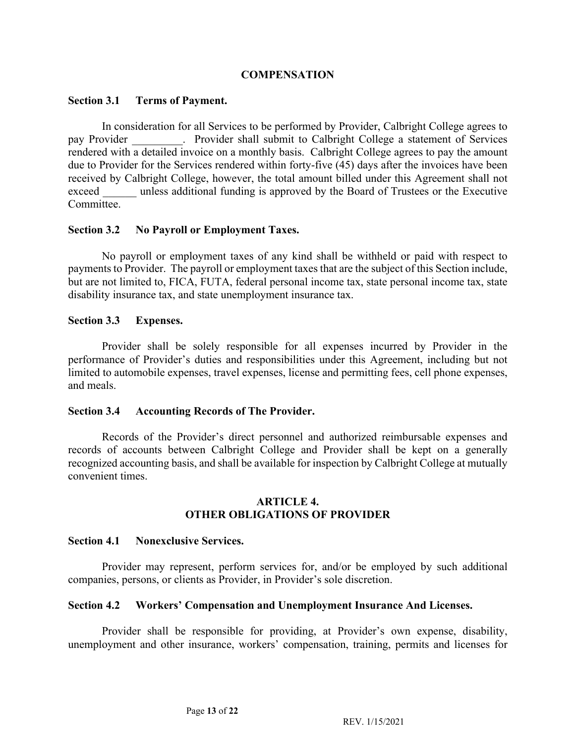#### **COMPENSATION**

#### **Section 3.1 Terms of Payment.**

 In consideration for all Services to be performed by Provider, Calbright College agrees to pay Provider \_\_\_\_\_\_\_\_\_\_. Provider shall submit to Calbright College a statement of Services rendered with a detailed invoice on a monthly basis. Calbright College agrees to pay the amount due to Provider for the Services rendered within forty-five (45) days after the invoices have been received by Calbright College, however, the total amount billed under this Agreement shall not exceed unless additional funding is approved by the Board of Trustees or the Executive Committee.

#### **Section 3.2 No Payroll or Employment Taxes.**

 No payroll or employment taxes of any kind shall be withheld or paid with respect to payments to Provider. The payroll or employment taxes that are the subject of this Section include, but are not limited to, FICA, FUTA, federal personal income tax, state personal income tax, state disability insurance tax, and state unemployment insurance tax.

#### **Section 3.3 Expenses.**

 Provider shall be solely responsible for all expenses incurred by Provider in the performance of Provider's duties and responsibilities under this Agreement, including but not limited to automobile expenses, travel expenses, license and permitting fees, cell phone expenses, and meals.

#### **Section 3.4 Accounting Records of The Provider.**

 Records of the Provider's direct personnel and authorized reimbursable expenses and records of accounts between Calbright College and Provider shall be kept on a generally recognized accounting basis, and shall be available for inspection by Calbright College at mutually convenient times.

#### **ARTICLE 4. OTHER OBLIGATIONS OF PROVIDER**

#### **Section 4.1 Nonexclusive Services.**

 Provider may represent, perform services for, and/or be employed by such additional companies, persons, or clients as Provider, in Provider's sole discretion.

#### **Section 4.2 Workers' Compensation and Unemployment Insurance And Licenses.**

 Provider shall be responsible for providing, at Provider's own expense, disability, unemployment and other insurance, workers' compensation, training, permits and licenses for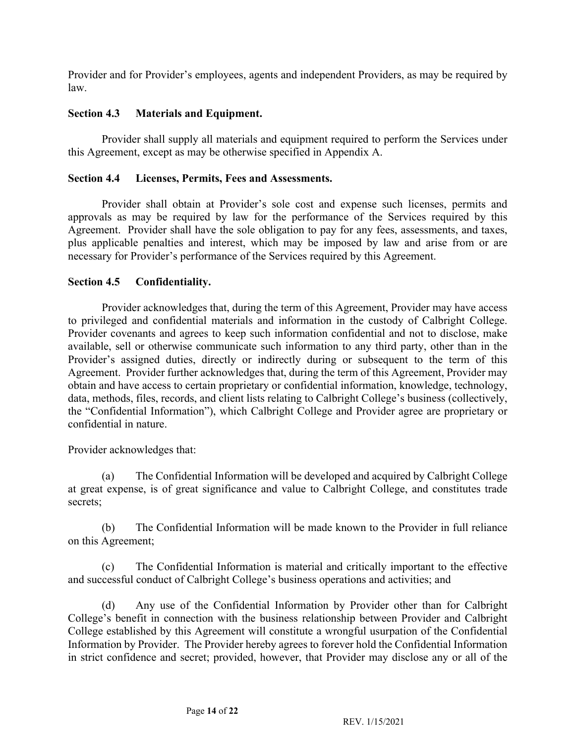Provider and for Provider's employees, agents and independent Providers, as may be required by law.

#### **Section 4.3 Materials and Equipment.**

 Provider shall supply all materials and equipment required to perform the Services under this Agreement, except as may be otherwise specified in Appendix A.

#### **Section 4.4 Licenses, Permits, Fees and Assessments.**

 Provider shall obtain at Provider's sole cost and expense such licenses, permits and approvals as may be required by law for the performance of the Services required by this Agreement. Provider shall have the sole obligation to pay for any fees, assessments, and taxes, plus applicable penalties and interest, which may be imposed by law and arise from or are necessary for Provider's performance of the Services required by this Agreement.

#### **Section 4.5 Confidentiality.**

 Provider acknowledges that, during the term of this Agreement, Provider may have access to privileged and confidential materials and information in the custody of Calbright College. Provider covenants and agrees to keep such information confidential and not to disclose, make Provider's assigned duties, directly or indirectly during or subsequent to the term of this Agreement. Provider further acknowledges that, during the term of this Agreement, Provider may obtain and have access to certain proprietary or confidential information, knowledge, technology, data, methods, files, records, and client lists relating to Calbright College's business (collectively, the "Confidential Information"), which Calbright College and Provider agree are proprietary or available, sell or otherwise communicate such information to any third party, other than in the confidential in nature.

Provider acknowledges that:

 $(a)$  at great expense, is of great significance and value to Calbright College, and constitutes trade The Confidential Information will be developed and acquired by Calbright College secrets;

(b) The Confidential Information will be made known to the Provider in full reliance on this Agreement;

 $(c)$ The Confidential Information is material and critically important to the effective and successful conduct of Calbright College's business operations and activities; and

 College's benefit in connection with the business relationship between Provider and Calbright College established by this Agreement will constitute a wrongful usurpation of the Confidential Information by Provider. The Provider hereby agrees to forever hold the Confidential Information in strict confidence and secret; provided, however, that Provider may disclose any or all of the (d) Any use of the Confidential Information by Provider other than for Calbright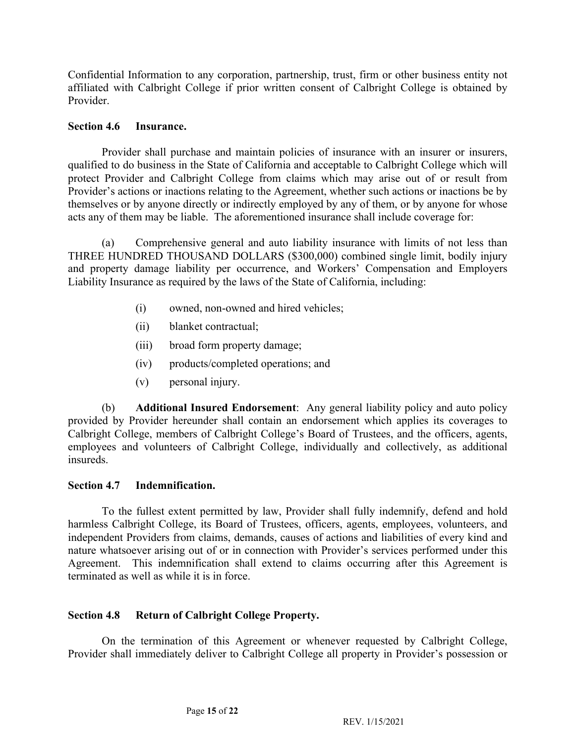Confidential Information to any corporation, partnership, trust, firm or other business entity not affiliated with Calbright College if prior written consent of Calbright College is obtained by Provider.

#### **Section 4.6 Insurance.**

 Provider shall purchase and maintain policies of insurance with an insurer or insurers, qualified to do business in the State of California and acceptable to Calbright College which will protect Provider and Calbright College from claims which may arise out of or result from Provider's actions or inactions relating to the Agreement, whether such actions or inactions be by themselves or by anyone directly or indirectly employed by any of them, or by anyone for whose acts any of them may be liable. The aforementioned insurance shall include coverage for:

 (a) Comprehensive general and auto liability insurance with limits of not less than THREE HUNDRED THOUSAND DOLLARS (\$300,000) combined single limit, bodily injury and property damage liability per occurrence, and Workers' Compensation and Employers Liability Insurance as required by the laws of the State of California, including:

- (i) owned, non-owned and hired vehicles;
- (ii) blanket contractual;
- (iii) broad form property damage;
- (iv) products/completed operations; and
- (v) personal injury.

 (b) **Additional Insured Endorsement**: Any general liability policy and auto policy provided by Provider hereunder shall contain an endorsement which applies its coverages to Calbright College, members of Calbright College's Board of Trustees, and the officers, agents, employees and volunteers of Calbright College, individually and collectively, as additional insureds.

### **Section 4.7 Indemnification.**

 To the fullest extent permitted by law, Provider shall fully indemnify, defend and hold harmless Calbright College, its Board of Trustees, officers, agents, employees, volunteers, and independent Providers from claims, demands, causes of actions and liabilities of every kind and nature whatsoever arising out of or in connection with Provider's services performed under this Agreement. This indemnification shall extend to claims occurring after this Agreement is terminated as well as while it is in force.

#### **Section 4.8** Return of Calbright College Property.

 On the termination of this Agreement or whenever requested by Calbright College, Provider shall immediately deliver to Calbright College all property in Provider's possession or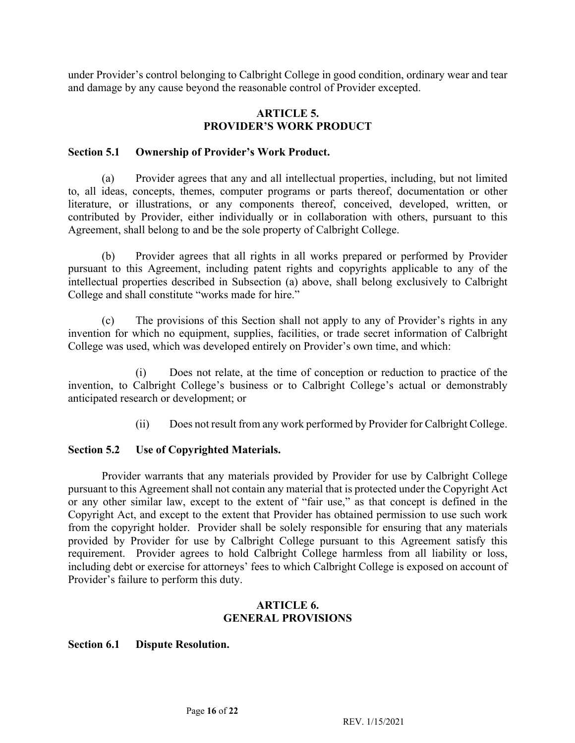under Provider's control belonging to Calbright College in good condition, ordinary wear and tear and damage by any cause beyond the reasonable control of Provider excepted.

#### **ARTICLE 5. PROVIDER'S WORK PRODUCT**

#### **Section 5.1 Ownership of Provider's Work Product.**

 (a) Provider agrees that any and all intellectual properties, including, but not limited to, all ideas, concepts, themes, computer programs or parts thereof, documentation or other contributed by Provider, either individually or in collaboration with others, pursuant to this literature, or illustrations, or any components thereof, conceived, developed, written, or Agreement, shall belong to and be the sole property of Calbright College.

 (b) Provider agrees that all rights in all works prepared or performed by Provider pursuant to this Agreement, including patent rights and copyrights applicable to any of the intellectual properties described in Subsection (a) above, shall belong exclusively to Calbright College and shall constitute "works made for hire."

 $(c)$  invention for which no equipment, supplies, facilities, or trade secret information of Calbright The provisions of this Section shall not apply to any of Provider's rights in any College was used, which was developed entirely on Provider's own time, and which:

 $(i)$  invention, to Calbright College's business or to Calbright College's actual or demonstrably Does not relate, at the time of conception or reduction to practice of the anticipated research or development; or

> $(ii)$ Does not result from any work performed by Provider for Calbright College.

#### **Section 5.2** Use of Copyrighted Materials.

 Provider warrants that any materials provided by Provider for use by Calbright College pursuant to this Agreement shall not contain any material that is protected under the Copyright Act or any other similar law, except to the extent of "fair use," as that concept is defined in the Copyright Act, and except to the extent that Provider has obtained permission to use such work from the copyright holder. Provider shall be solely responsible for ensuring that any materials provided by Provider for use by Calbright College pursuant to this Agreement satisfy this requirement. Provider agrees to hold Calbright College harmless from all liability or loss, including debt or exercise for attorneys' fees to which Calbright College is exposed on account of Provider's failure to perform this duty.

#### **ARTICLE 6. GENERAL PROVISIONS**

#### **Section 6.1 Dispute Resolution.**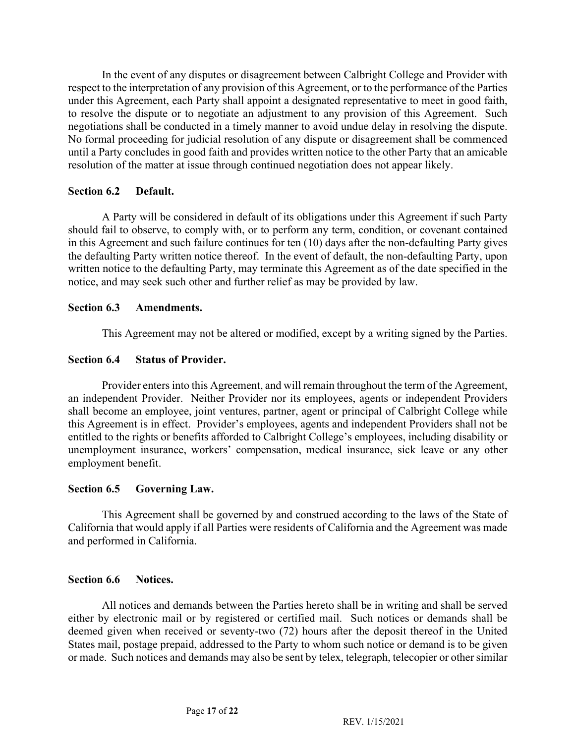In the event of any disputes or disagreement between Calbright College and Provider with respect to the interpretation of any provision of this Agreement, or to the performance of the Parties under this Agreement, each Party shall appoint a designated representative to meet in good faith, to resolve the dispute or to negotiate an adjustment to any provision of this Agreement. Such negotiations shall be conducted in a timely manner to avoid undue delay in resolving the dispute. No formal proceeding for judicial resolution of any dispute or disagreement shall be commenced until a Party concludes in good faith and provides written notice to the other Party that an amicable resolution of the matter at issue through continued negotiation does not appear likely.

#### **Section 6.2 Default.**

 A Party will be considered in default of its obligations under this Agreement if such Party in this Agreement and such failure continues for ten (10) days after the non-defaulting Party gives the defaulting Party written notice thereof. In the event of default, the non-defaulting Party, upon written notice to the defaulting Party, may terminate this Agreement as of the date specified in the should fail to observe, to comply with, or to perform any term, condition, or covenant contained notice, and may seek such other and further relief as may be provided by law.

#### **Section 6.3 Amendments.**

This Agreement may not be altered or modified, except by a writing signed by the Parties.

#### **Section 6.4 Status of Provider.**

 Provider enters into this Agreement, and will remain throughout the term of the Agreement, an independent Provider. Neither Provider nor its employees, agents or independent Providers shall become an employee, joint ventures, partner, agent or principal of Calbright College while this Agreement is in effect. Provider's employees, agents and independent Providers shall not be entitled to the rights or benefits afforded to Calbright College's employees, including disability or unemployment insurance, workers' compensation, medical insurance, sick leave or any other employment benefit.

#### **Section 6.5 Governing Law.**

 This Agreement shall be governed by and construed according to the laws of the State of California that would apply if all Parties were residents of California and the Agreement was made and performed in California.

#### **Section 6.6 Notices.**

 All notices and demands between the Parties hereto shall be in writing and shall be served either by electronic mail or by registered or certified mail. Such notices or demands shall be deemed given when received or seventy-two (72) hours after the deposit thereof in the United States mail, postage prepaid, addressed to the Party to whom such notice or demand is to be given or made. Such notices and demands may also be sent by telex, telegraph, telecopier or other similar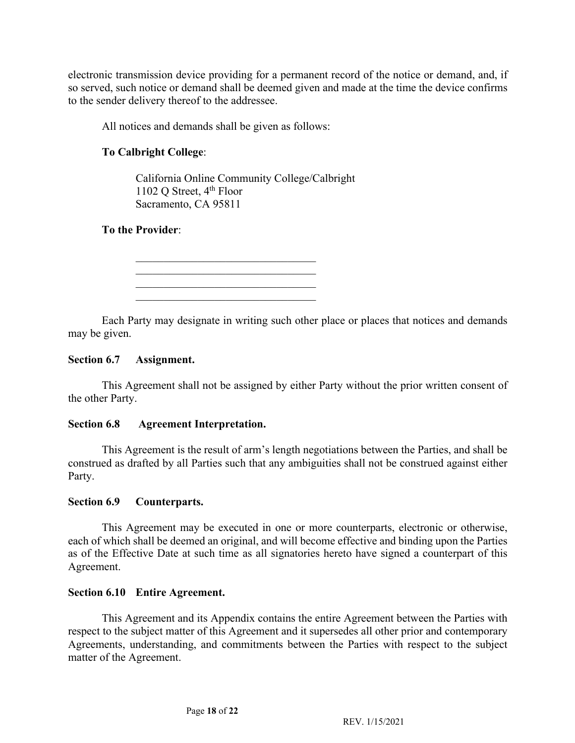electronic transmission device providing for a permanent record of the notice or demand, and, if so served, such notice or demand shall be deemed given and made at the time the device confirms to the sender delivery thereof to the addressee.

All notices and demands shall be given as follows:

# **To Calbright College**:

1102 Q Street, 4<sup>th</sup> Floor California Online Community College/Calbright Sacramento, CA 95811

### **To the Provider**:

\_\_\_\_\_\_\_\_\_\_\_\_\_\_\_\_\_\_\_\_\_\_\_\_\_\_\_\_\_\_\_\_

 Each Party may designate in writing such other place or places that notices and demands may be given.

#### **Section 6.7 Assignment.**

 This Agreement shall not be assigned by either Party without the prior written consent of the other Party.

#### **Section 6.8 Agreement Interpretation.**

 This Agreement is the result of arm's length negotiations between the Parties, and shall be construed as drafted by all Parties such that any ambiguities shall not be construed against either Party.

#### **Section 6.9 Counterparts.**

 This Agreement may be executed in one or more counterparts, electronic or otherwise, each of which shall be deemed an original, and will become effective and binding upon the Parties as of the Effective Date at such time as all signatories hereto have signed a counterpart of this Agreement.

#### **Section 6.10 Entire Agreement.**

 This Agreement and its Appendix contains the entire Agreement between the Parties with respect to the subject matter of this Agreement and it supersedes all other prior and contemporary Agreements, understanding, and commitments between the Parties with respect to the subject matter of the Agreement.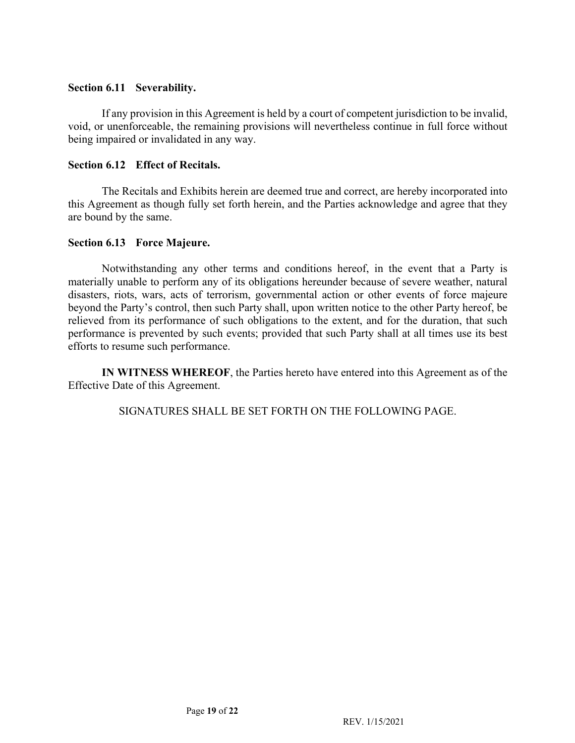#### **Section 6.11 Severability.**

 If any provision in this Agreement is held by a court of competent jurisdiction to be invalid, void, or unenforceable, the remaining provisions will nevertheless continue in full force without being impaired or invalidated in any way.

### **Section 6.12 Effect of Recitals.**

 The Recitals and Exhibits herein are deemed true and correct, are hereby incorporated into this Agreement as though fully set forth herein, and the Parties acknowledge and agree that they are bound by the same.

#### **Section 6.13 Force Majeure.**

 Notwithstanding any other terms and conditions hereof, in the event that a Party is materially unable to perform any of its obligations hereunder because of severe weather, natural disasters, riots, wars, acts of terrorism, governmental action or other events of force majeure beyond the Party's control, then such Party shall, upon written notice to the other Party hereof, be relieved from its performance of such obligations to the extent, and for the duration, that such performance is prevented by such events; provided that such Party shall at all times use its best efforts to resume such performance.

 **IN WITNESS WHEREOF**, the Parties hereto have entered into this Agreement as of the Effective Date of this Agreement.

SIGNATURES SHALL BE SET FORTH ON THE FOLLOWING PAGE.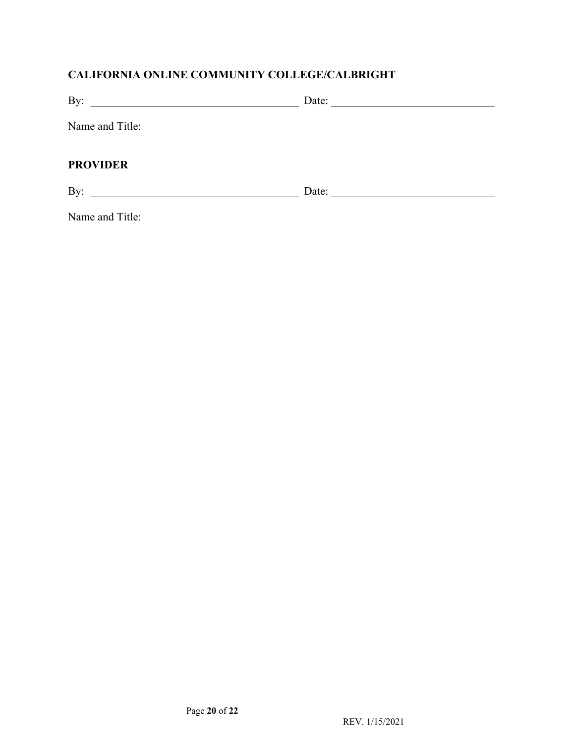# **CALIFORNIA ONLINE COMMUNITY COLLEGE/CALBRIGHT**

| By:                                                       | Date: |
|-----------------------------------------------------------|-------|
| Name and Title:                                           |       |
| <b>PROVIDER</b>                                           |       |
| By:<br><u> 1980 - John Stein, Amerikaansk politiker (</u> | Date: |

Name and Title: Name and Title: Page **20** of **22**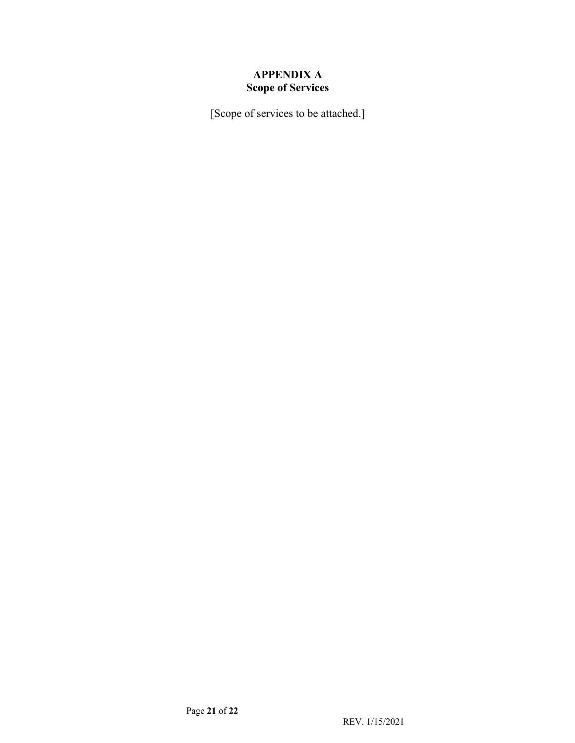# **APPENDIX A Scope of Services**

[Scope of services to be attached.]